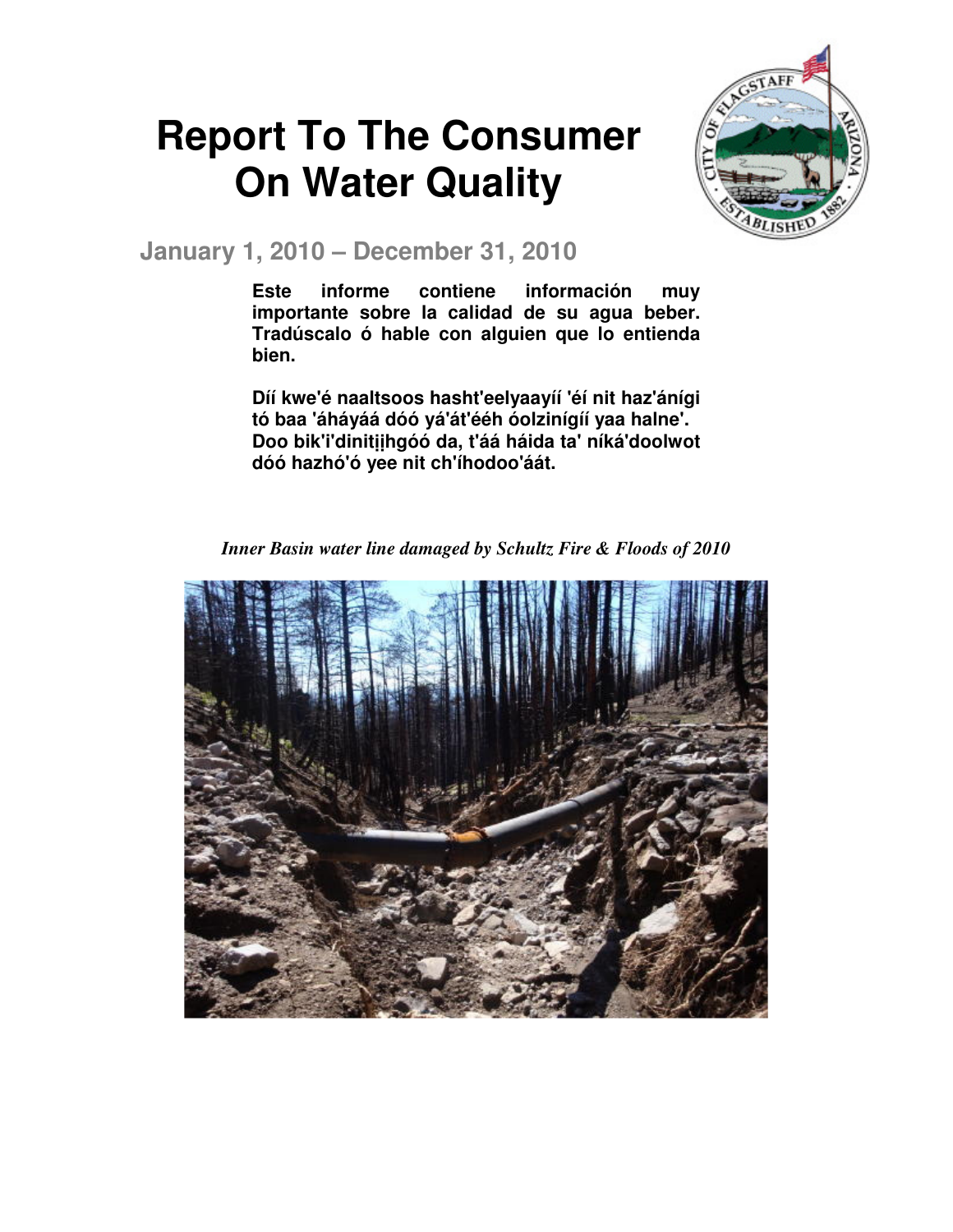# **Report To The Consumer On Water Quality**



**January 1, 2010 – December 31, 2010** 

**Este informe contiene información muy importante sobre la calidad de su agua beber. Tradúscalo ó hable con alguien que lo entienda bien.** 

**Díí kwe'é naaltsoos hasht'eelyaayíí 'éí nit haz'ánígi tó baa 'áháyáá dóó yá'át'ééh óolzinígíí yaa halne'. Doo bik'i'dinit**ịị**hgóó da, t'áá háida ta' níká'doolwot dóó hazhó'ó yee nit ch'íhodoo'áát.** 

*Inner Basin water line damaged by Schultz Fire & Floods of 2010* 

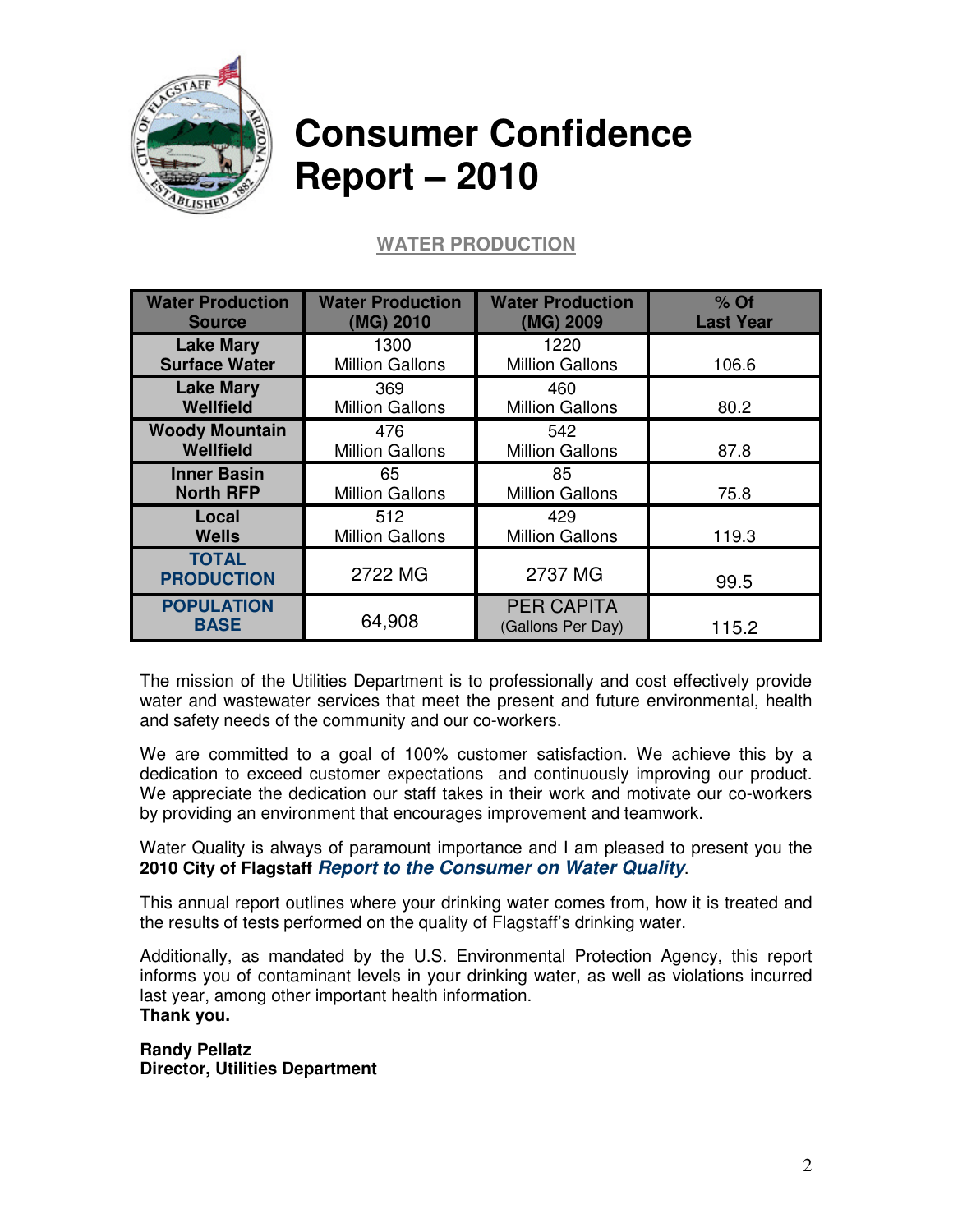

# **Consumer Confidence Report – 2010**

# **WATER PRODUCTION**

| <b>Water Production</b>           | <b>Water Production</b> | <b>Water Production</b>                | $%$ Of           |
|-----------------------------------|-------------------------|----------------------------------------|------------------|
| <b>Source</b>                     | (MG) 2010               | (MG) 2009                              | <b>Last Year</b> |
| <b>Lake Mary</b>                  | 1300                    | 1220                                   | 106.6            |
| <b>Surface Water</b>              | <b>Million Gallons</b>  | <b>Million Gallons</b>                 |                  |
| <b>Lake Mary</b>                  | 369                     | 460                                    | 80.2             |
| <b>Wellfield</b>                  | <b>Million Gallons</b>  | <b>Million Gallons</b>                 |                  |
| <b>Woody Mountain</b>             | 476                     | 542                                    | 87.8             |
| <b>Wellfield</b>                  | <b>Million Gallons</b>  | <b>Million Gallons</b>                 |                  |
| <b>Inner Basin</b>                | 65                      | 85                                     | 75.8             |
| <b>North RFP</b>                  | <b>Million Gallons</b>  | <b>Million Gallons</b>                 |                  |
| Local                             | 512                     | 429                                    | 119.3            |
| <b>Wells</b>                      | <b>Million Gallons</b>  | <b>Million Gallons</b>                 |                  |
| <b>TOTAL</b><br><b>PRODUCTION</b> | 2722 MG                 | 2737 MG                                | 99.5             |
| <b>POPULATION</b><br><b>BASE</b>  | 64,908                  | <b>PER CAPITA</b><br>(Gallons Per Day) | 115.2            |

The mission of the Utilities Department is to professionally and cost effectively provide water and wastewater services that meet the present and future environmental, health and safety needs of the community and our co-workers.

We are committed to a goal of 100% customer satisfaction. We achieve this by a dedication to exceed customer expectations and continuously improving our product. We appreciate the dedication our staff takes in their work and motivate our co-workers by providing an environment that encourages improvement and teamwork.

Water Quality is always of paramount importance and I am pleased to present you the **2010 City of Flagstaff Report to the Consumer on Water Quality**.

This annual report outlines where your drinking water comes from, how it is treated and the results of tests performed on the quality of Flagstaff's drinking water.

Additionally, as mandated by the U.S. Environmental Protection Agency, this report informs you of contaminant levels in your drinking water, as well as violations incurred last year, among other important health information. **Thank you.** 

**Randy Pellatz Director, Utilities Department**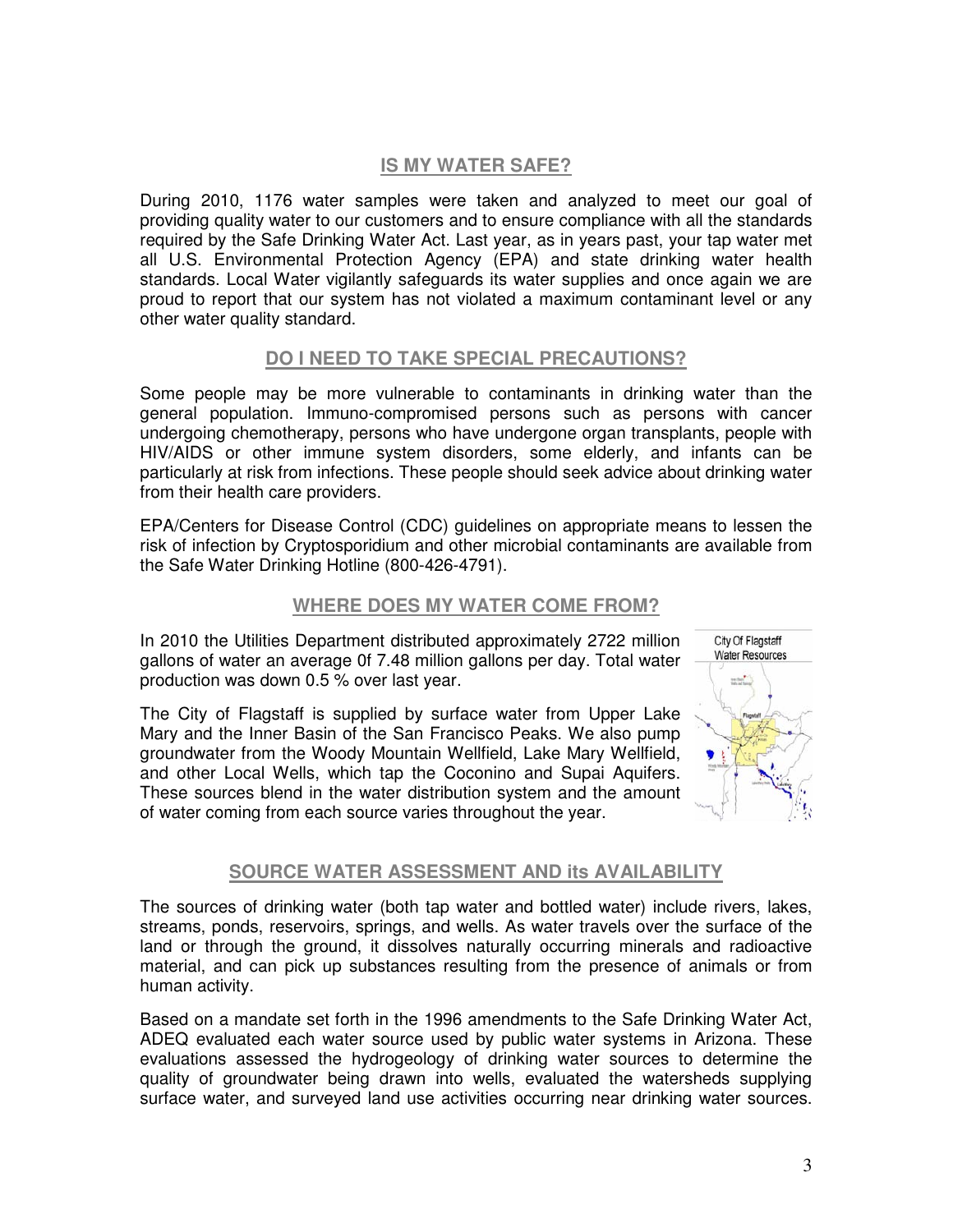#### **IS MY WATER SAFE?**

During 2010, 1176 water samples were taken and analyzed to meet our goal of providing quality water to our customers and to ensure compliance with all the standards required by the Safe Drinking Water Act. Last year, as in years past, your tap water met all U.S. Environmental Protection Agency (EPA) and state drinking water health standards. Local Water vigilantly safeguards its water supplies and once again we are proud to report that our system has not violated a maximum contaminant level or any other water quality standard.

#### **DO I NEED TO TAKE SPECIAL PRECAUTIONS?**

Some people may be more vulnerable to contaminants in drinking water than the general population. Immuno-compromised persons such as persons with cancer undergoing chemotherapy, persons who have undergone organ transplants, people with HIV/AIDS or other immune system disorders, some elderly, and infants can be particularly at risk from infections. These people should seek advice about drinking water from their health care providers.

EPA/Centers for Disease Control (CDC) guidelines on appropriate means to lessen the risk of infection by Cryptosporidium and other microbial contaminants are available from the Safe Water Drinking Hotline (800-426-4791).

#### **WHERE DOES MY WATER COME FROM?**

In 2010 the Utilities Department distributed approximately 2722 million gallons of water an average 0f 7.48 million gallons per day. Total water production was down 0.5 % over last year.

The City of Flagstaff is supplied by surface water from Upper Lake Mary and the Inner Basin of the San Francisco Peaks. We also pump groundwater from the Woody Mountain Wellfield, Lake Mary Wellfield, and other Local Wells, which tap the Coconino and Supai Aquifers. These sources blend in the water distribution system and the amount of water coming from each source varies throughout the year.



#### **SOURCE WATER ASSESSMENT AND its AVAILABILITY**

The sources of drinking water (both tap water and bottled water) include rivers, lakes, streams, ponds, reservoirs, springs, and wells. As water travels over the surface of the land or through the ground, it dissolves naturally occurring minerals and radioactive material, and can pick up substances resulting from the presence of animals or from human activity.

Based on a mandate set forth in the 1996 amendments to the Safe Drinking Water Act, ADEQ evaluated each water source used by public water systems in Arizona. These evaluations assessed the hydrogeology of drinking water sources to determine the quality of groundwater being drawn into wells, evaluated the watersheds supplying surface water, and surveyed land use activities occurring near drinking water sources.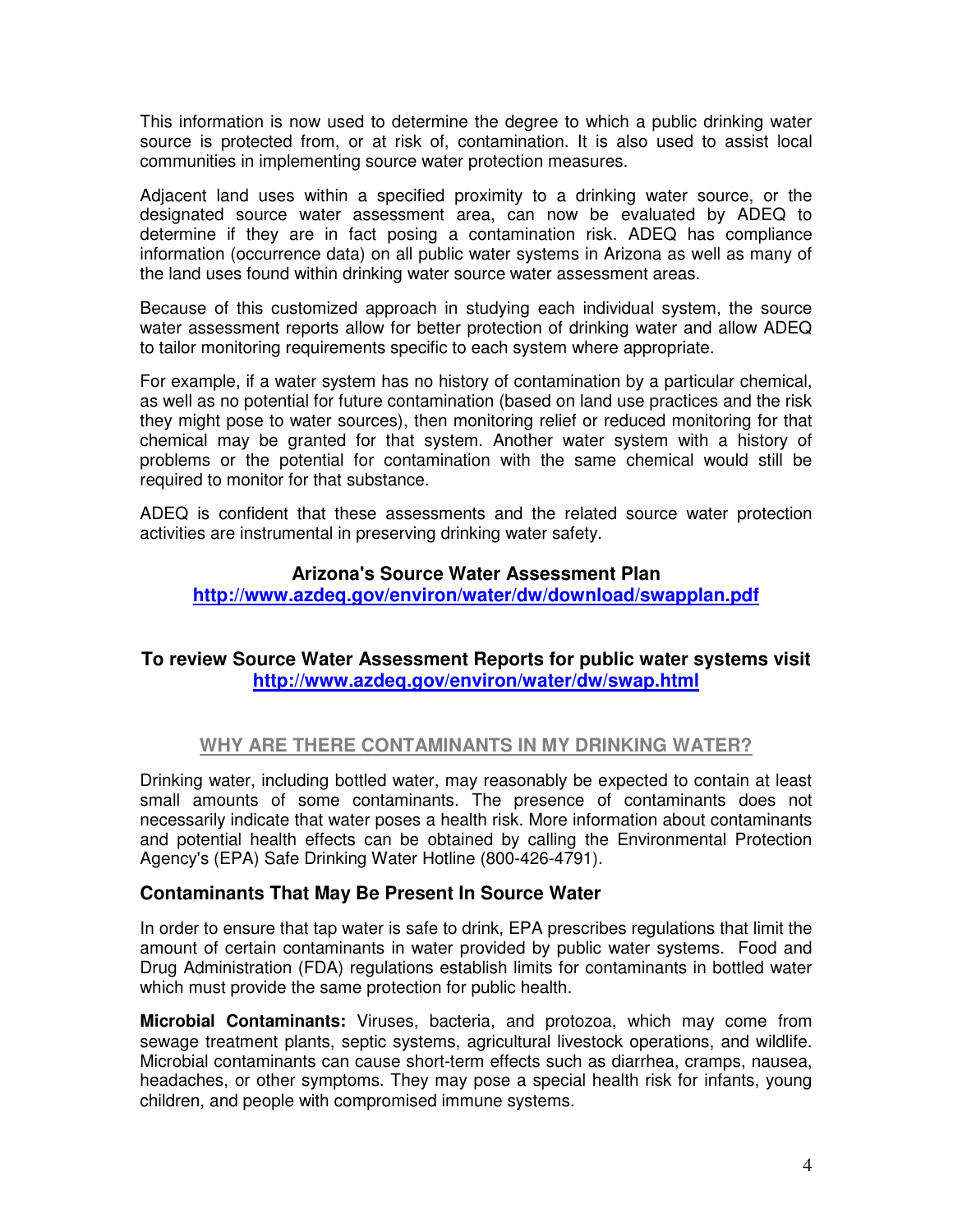This information is now used to determine the degree to which a public drinking water source is protected from, or at risk of, contamination. It is also used to assist local communities in implementing source water protection measures.

Adjacent land uses within a specified proximity to a drinking water source, or the designated source water assessment area, can now be evaluated by ADEQ to determine if they are in fact posing a contamination risk. ADEQ has compliance information (occurrence data) on all public water systems in Arizona as well as many of the land uses found within drinking water source water assessment areas.

Because of this customized approach in studying each individual system, the source water assessment reports allow for better protection of drinking water and allow ADEQ to tailor monitoring requirements specific to each system where appropriate.

For example, if a water system has no history of contamination by a particular chemical, as well as no potential for future contamination (based on land use practices and the risk they might pose to water sources), then monitoring relief or reduced monitoring for that chemical may be granted for that system. Another water system with a history of problems or the potential for contamination with the same chemical would still be required to monitor for that substance.

ADEQ is confident that these assessments and the related source water protection activities are instrumental in preserving drinking water safety.

#### **Arizona's Source Water Assessment Plan**

**http://www.azdeq.gov/environ/water/dw/download/swapplan.pdf** 

#### **To review Source Water Assessment Reports for public water systems visit http://www.azdeq.gov/environ/water/dw/swap.html**

#### **WHY ARE THERE CONTAMINANTS IN MY DRINKING WATER?**

Drinking water, including bottled water, may reasonably be expected to contain at least small amounts of some contaminants. The presence of contaminants does not necessarily indicate that water poses a health risk. More information about contaminants and potential health effects can be obtained by calling the Environmental Protection Agency's (EPA) Safe Drinking Water Hotline (800-426-4791).

#### **Contaminants That May Be Present In Source Water**

In order to ensure that tap water is safe to drink, EPA prescribes regulations that limit the amount of certain contaminants in water provided by public water systems. Food and Drug Administration (FDA) regulations establish limits for contaminants in bottled water which must provide the same protection for public health.

**Microbial Contaminants:** Viruses, bacteria, and protozoa, which may come from sewage treatment plants, septic systems, agricultural livestock operations, and wildlife. Microbial contaminants can cause short-term effects such as diarrhea, cramps, nausea, headaches, or other symptoms. They may pose a special health risk for infants, young children, and people with compromised immune systems.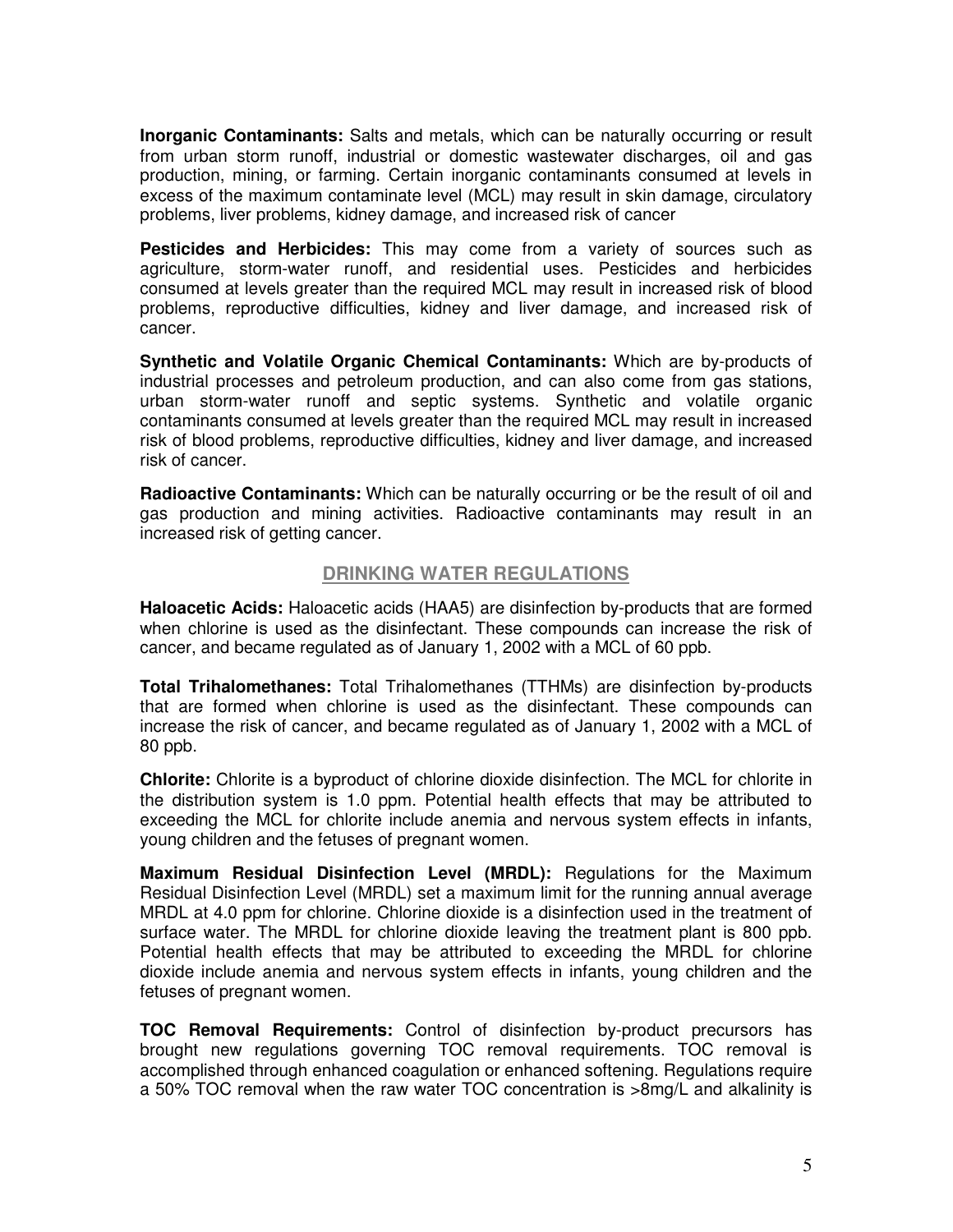**Inorganic Contaminants:** Salts and metals, which can be naturally occurring or result from urban storm runoff, industrial or domestic wastewater discharges, oil and gas production, mining, or farming. Certain inorganic contaminants consumed at levels in excess of the maximum contaminate level (MCL) may result in skin damage, circulatory problems, liver problems, kidney damage, and increased risk of cancer

**Pesticides and Herbicides:** This may come from a variety of sources such as agriculture, storm-water runoff, and residential uses. Pesticides and herbicides consumed at levels greater than the required MCL may result in increased risk of blood problems, reproductive difficulties, kidney and liver damage, and increased risk of cancer.

**Synthetic and Volatile Organic Chemical Contaminants:** Which are by-products of industrial processes and petroleum production, and can also come from gas stations, urban storm-water runoff and septic systems. Synthetic and volatile organic contaminants consumed at levels greater than the required MCL may result in increased risk of blood problems, reproductive difficulties, kidney and liver damage, and increased risk of cancer.

**Radioactive Contaminants:** Which can be naturally occurring or be the result of oil and gas production and mining activities. Radioactive contaminants may result in an increased risk of getting cancer.

#### **DRINKING WATER REGULATIONS**

**Haloacetic Acids:** Haloacetic acids (HAA5) are disinfection by-products that are formed when chlorine is used as the disinfectant. These compounds can increase the risk of cancer, and became regulated as of January 1, 2002 with a MCL of 60 ppb.

**Total Trihalomethanes:** Total Trihalomethanes (TTHMs) are disinfection by-products that are formed when chlorine is used as the disinfectant. These compounds can increase the risk of cancer, and became regulated as of January 1, 2002 with a MCL of 80 ppb.

**Chlorite:** Chlorite is a byproduct of chlorine dioxide disinfection. The MCL for chlorite in the distribution system is 1.0 ppm. Potential health effects that may be attributed to exceeding the MCL for chlorite include anemia and nervous system effects in infants, young children and the fetuses of pregnant women.

**Maximum Residual Disinfection Level (MRDL):** Regulations for the Maximum Residual Disinfection Level (MRDL) set a maximum limit for the running annual average MRDL at 4.0 ppm for chlorine. Chlorine dioxide is a disinfection used in the treatment of surface water. The MRDL for chlorine dioxide leaving the treatment plant is 800 ppb. Potential health effects that may be attributed to exceeding the MRDL for chlorine dioxide include anemia and nervous system effects in infants, young children and the fetuses of pregnant women.

**TOC Removal Requirements:** Control of disinfection by-product precursors has brought new regulations governing TOC removal requirements. TOC removal is accomplished through enhanced coagulation or enhanced softening. Regulations require a 50% TOC removal when the raw water TOC concentration is >8mg/L and alkalinity is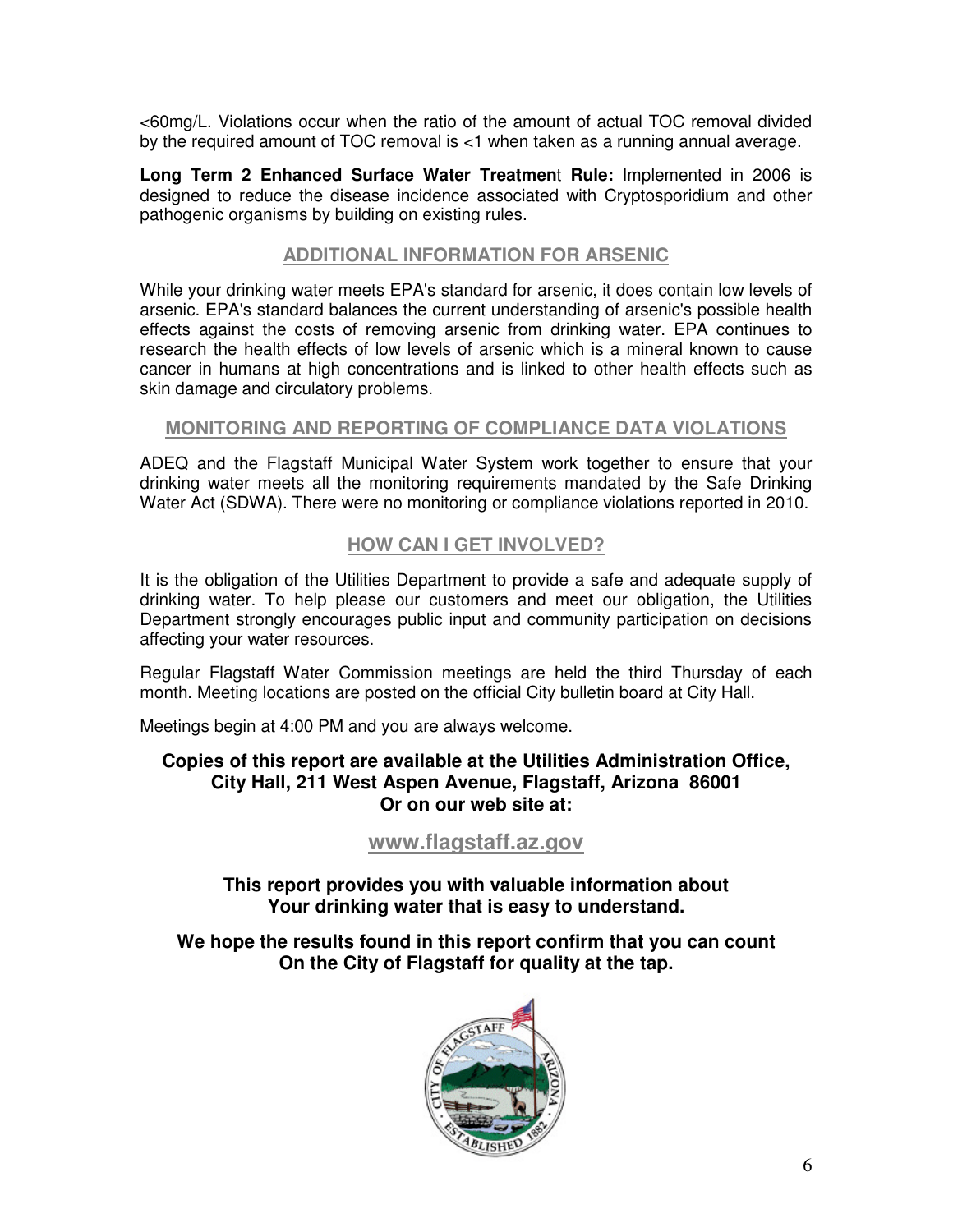<60mg/L. Violations occur when the ratio of the amount of actual TOC removal divided by the required amount of TOC removal is <1 when taken as a running annual average.

**Long Term 2 Enhanced Surface Water Treatmen**t **Rule:** Implemented in 2006 is designed to reduce the disease incidence associated with Cryptosporidium and other pathogenic organisms by building on existing rules.

#### **ADDITIONAL INFORMATION FOR ARSENIC**

While your drinking water meets EPA's standard for arsenic, it does contain low levels of arsenic. EPA's standard balances the current understanding of arsenic's possible health effects against the costs of removing arsenic from drinking water. EPA continues to research the health effects of low levels of arsenic which is a mineral known to cause cancer in humans at high concentrations and is linked to other health effects such as skin damage and circulatory problems.

#### **MONITORING AND REPORTING OF COMPLIANCE DATA VIOLATIONS**

ADEQ and the Flagstaff Municipal Water System work together to ensure that your drinking water meets all the monitoring requirements mandated by the Safe Drinking Water Act (SDWA). There were no monitoring or compliance violations reported in 2010.

#### **HOW CAN I GET INVOLVED?**

It is the obligation of the Utilities Department to provide a safe and adequate supply of drinking water. To help please our customers and meet our obligation, the Utilities Department strongly encourages public input and community participation on decisions affecting your water resources.

Regular Flagstaff Water Commission meetings are held the third Thursday of each month. Meeting locations are posted on the official City bulletin board at City Hall.

Meetings begin at 4:00 PM and you are always welcome.

#### **Copies of this report are available at the Utilities Administration Office, City Hall, 211 West Aspen Avenue, Flagstaff, Arizona 86001 Or on our web site at:**

#### **www.flagstaff.az.gov**

**This report provides you with valuable information about Your drinking water that is easy to understand.** 

**We hope the results found in this report confirm that you can count On the City of Flagstaff for quality at the tap.** 

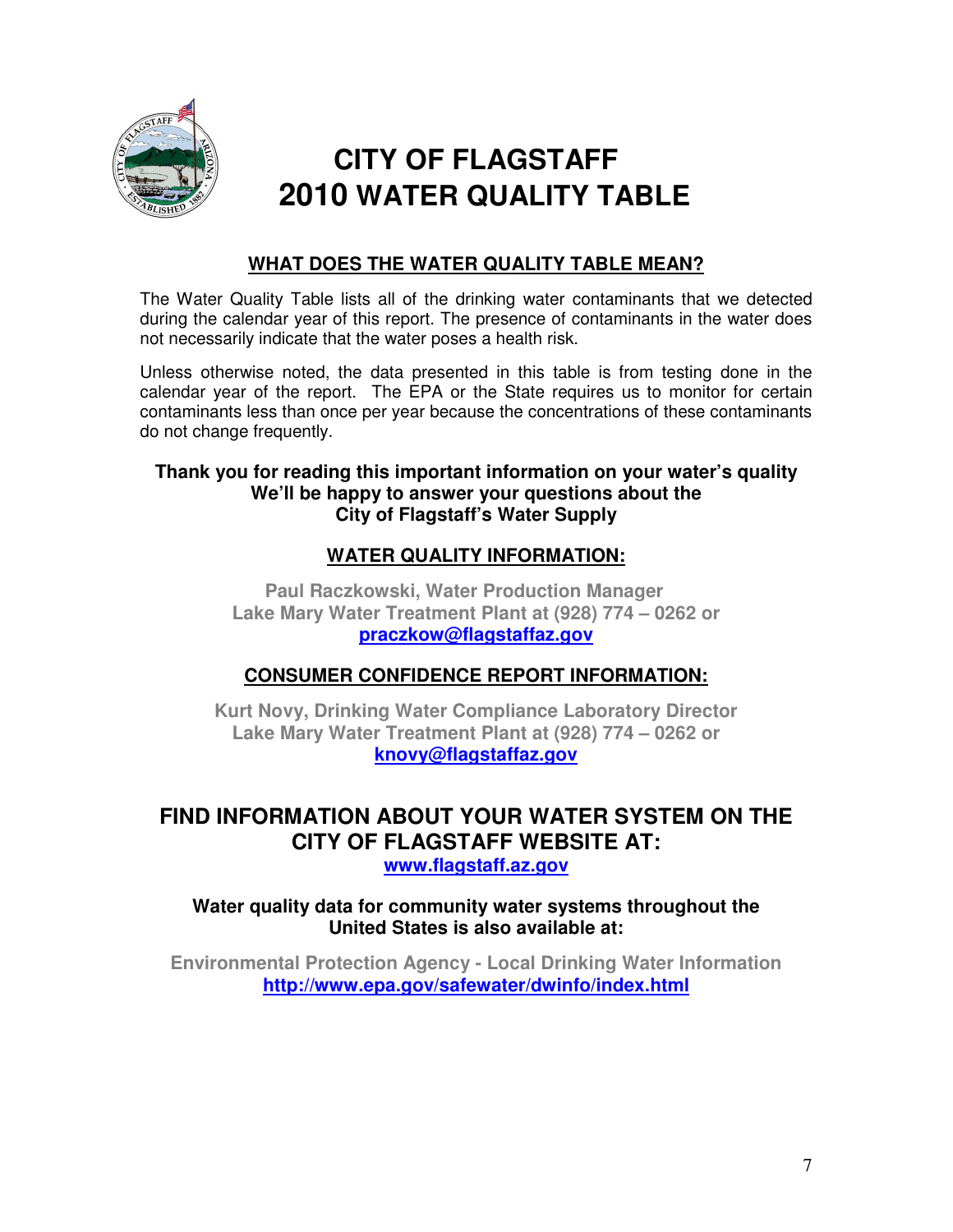

# **CITY OF FLAGSTAFF 2010 WATER QUALITY TABLE**

## **WHAT DOES THE WATER QUALITY TABLE MEAN?**

The Water Quality Table lists all of the drinking water contaminants that we detected during the calendar year of this report. The presence of contaminants in the water does not necessarily indicate that the water poses a health risk.

Unless otherwise noted, the data presented in this table is from testing done in the calendar year of the report. The EPA or the State requires us to monitor for certain contaminants less than once per year because the concentrations of these contaminants do not change frequently.

#### **Thank you for reading this important information on your water's quality We'll be happy to answer your questions about the City of Flagstaff's Water Supply**

### **WATER QUALITY INFORMATION:**

 **Paul Raczkowski, Water Production Manager Lake Mary Water Treatment Plant at (928) 774 – 0262 or praczkow@flagstaffaz.gov**

## **CONSUMER CONFIDENCE REPORT INFORMATION:**

**Kurt Novy, Drinking Water Compliance Laboratory Director Lake Mary Water Treatment Plant at (928) 774 – 0262 or knovy@flagstaffaz.gov**

## **FIND INFORMATION ABOUT YOUR WATER SYSTEM ON THE CITY OF FLAGSTAFF WEBSITE AT: www.flagstaff.az.gov**

#### **Water quality data for community water systems throughout the United States is also available at:**

**Environmental Protection Agency - Local Drinking Water Information http://www.epa.gov/safewater/dwinfo/index.html**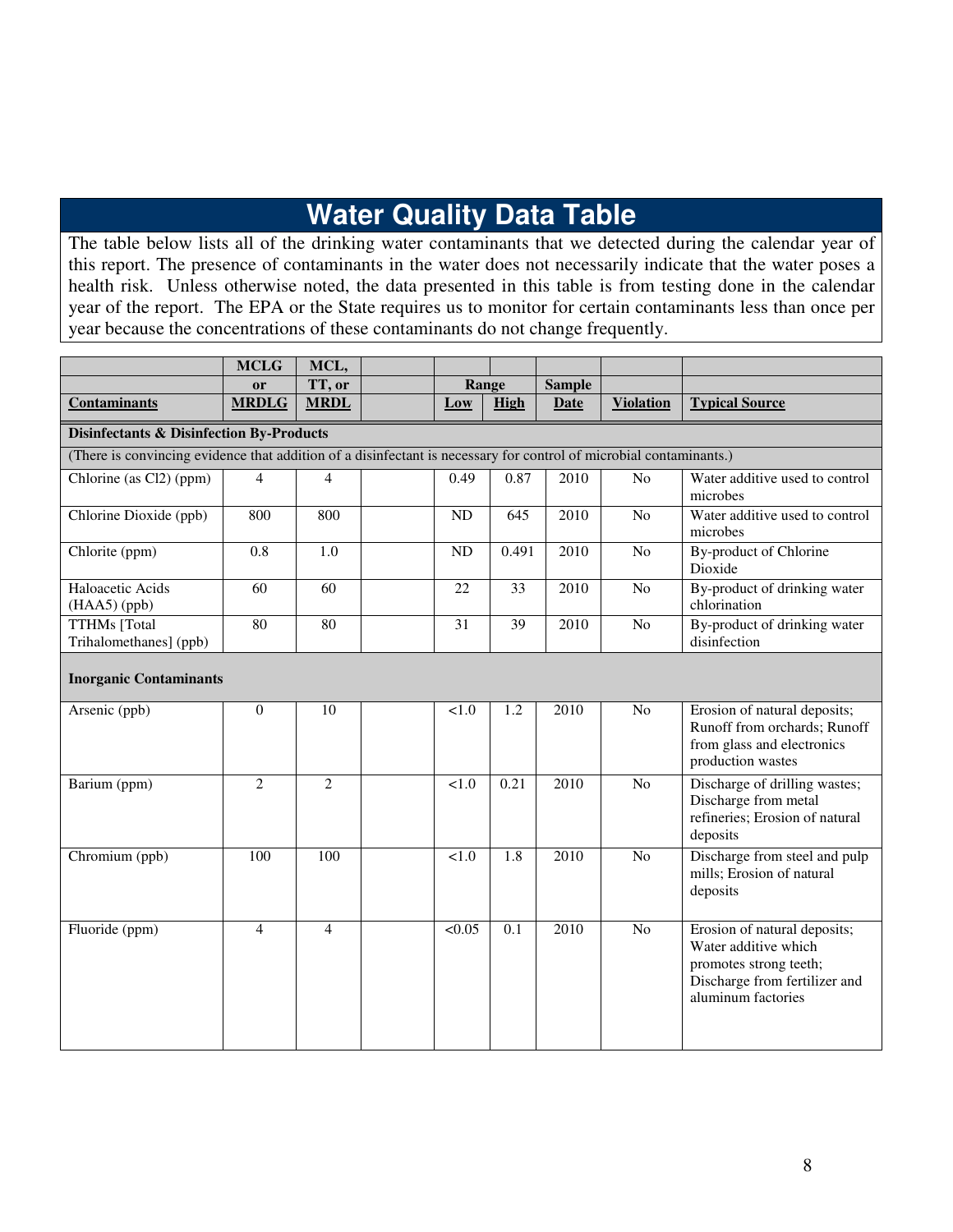# **Water Quality Data Table**

The table below lists all of the drinking water contaminants that we detected during the calendar year of this report. The presence of contaminants in the water does not necessarily indicate that the water poses a health risk. Unless otherwise noted, the data presented in this table is from testing done in the calendar year of the report. The EPA or the State requires us to monitor for certain contaminants less than once per year because the concentrations of these contaminants do not change frequently.

|                                                                                                                    | <b>MCLG</b>        | MCL,                  |  |                 |                  |                       |                  |                                                                                                                                       |
|--------------------------------------------------------------------------------------------------------------------|--------------------|-----------------------|--|-----------------|------------------|-----------------------|------------------|---------------------------------------------------------------------------------------------------------------------------------------|
| <b>Contaminants</b>                                                                                                | or<br><b>MRDLG</b> | TT, or<br><b>MRDL</b> |  | Range<br>Low    | High             | <b>Sample</b><br>Date | <b>Violation</b> | <b>Typical Source</b>                                                                                                                 |
| <b>Disinfectants &amp; Disinfection By-Products</b>                                                                |                    |                       |  |                 |                  |                       |                  |                                                                                                                                       |
| (There is convincing evidence that addition of a disinfectant is necessary for control of microbial contaminants.) |                    |                       |  |                 |                  |                       |                  |                                                                                                                                       |
| Chlorine (as Cl2) (ppm)                                                                                            | $\overline{4}$     | $\overline{4}$        |  | 0.49            | 0.87             | 2010                  | N <sub>o</sub>   | Water additive used to control<br>microbes                                                                                            |
| Chlorine Dioxide (ppb)                                                                                             | 800                | 800                   |  | ND              | 645              | 2010                  | N <sub>o</sub>   | Water additive used to control<br>microbes                                                                                            |
| Chlorite (ppm)                                                                                                     | 0.8                | 1.0                   |  | <b>ND</b>       | 0.491            | 2010                  | N <sub>o</sub>   | By-product of Chlorine<br>Dioxide                                                                                                     |
| Haloacetic Acids<br>(HAA5) (ppb)                                                                                   | 60                 | 60                    |  | 22              | 33               | 2010                  | N <sub>0</sub>   | By-product of drinking water<br>chlorination                                                                                          |
| <b>TTHMs</b> [Total<br>Trihalomethanes] (ppb)                                                                      | 80                 | 80                    |  | $\overline{31}$ | $\overline{39}$  | 2010                  | $\overline{No}$  | By-product of drinking water<br>disinfection                                                                                          |
| <b>Inorganic Contaminants</b>                                                                                      |                    |                       |  |                 |                  |                       |                  |                                                                                                                                       |
| Arsenic (ppb)                                                                                                      | $\Omega$           | 10                    |  | 1.0             | $\overline{1.2}$ | 2010                  | $\overline{No}$  | Erosion of natural deposits;<br>Runoff from orchards; Runoff<br>from glass and electronics<br>production wastes                       |
| Barium (ppm)                                                                                                       | $\overline{2}$     | $\overline{2}$        |  | < 1.0           | 0.21             | 2010                  | No               | Discharge of drilling wastes;<br>Discharge from metal<br>refineries; Erosion of natural<br>deposits                                   |
| Chromium (ppb)                                                                                                     | 100                | 100                   |  | < 1.0           | 1.8              | 2010                  | N <sub>o</sub>   | Discharge from steel and pulp<br>mills; Erosion of natural<br>deposits                                                                |
| Fluoride (ppm)                                                                                                     | $\overline{4}$     | $\overline{4}$        |  | < 0.05          | $\overline{0.1}$ | 2010                  | N <sub>o</sub>   | Erosion of natural deposits;<br>Water additive which<br>promotes strong teeth;<br>Discharge from fertilizer and<br>aluminum factories |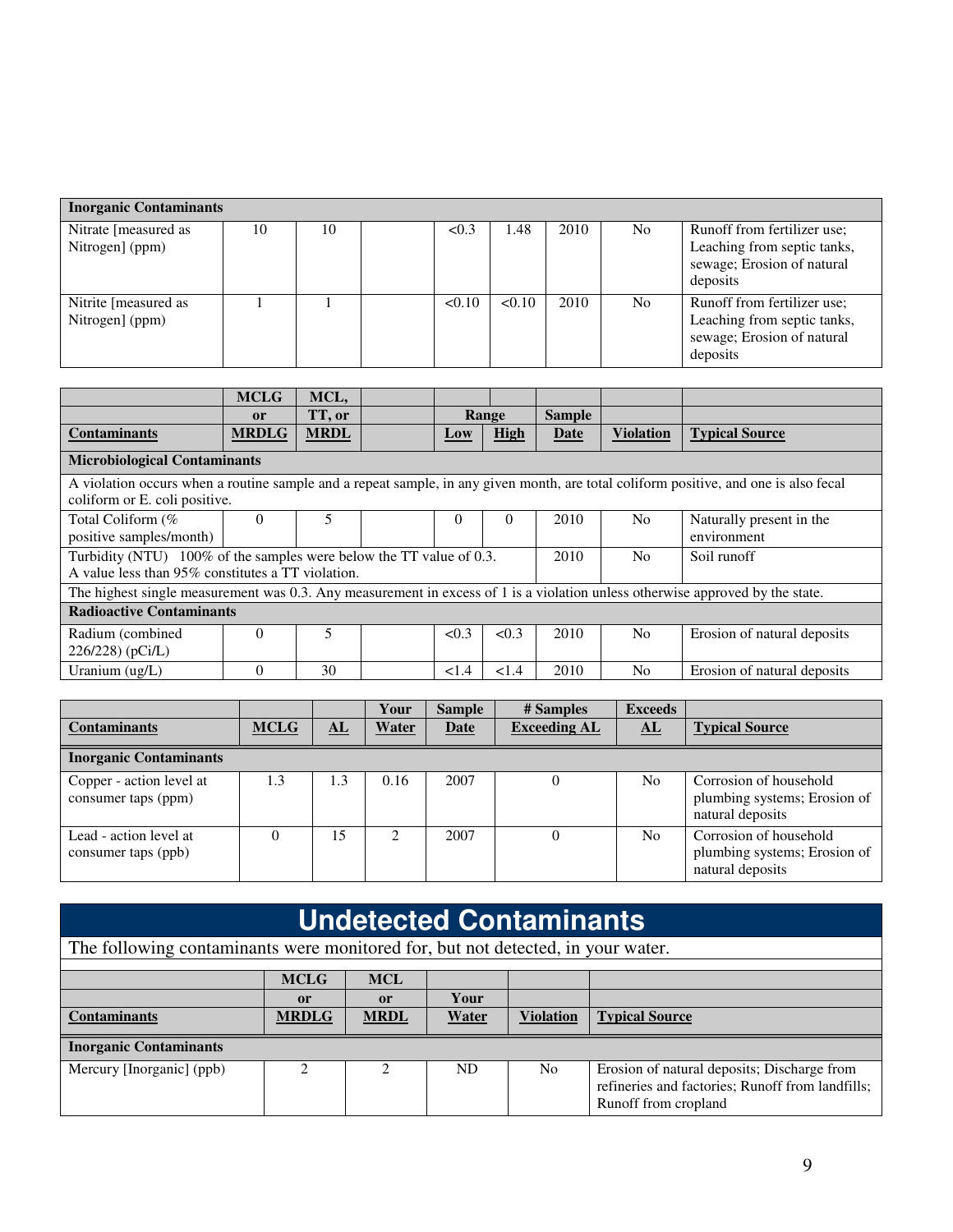| <b>Inorganic Contaminants</b>           |    |    |        |        |      |     |                                                                                                      |
|-----------------------------------------|----|----|--------|--------|------|-----|------------------------------------------------------------------------------------------------------|
| Nitrate [measured as<br>Nitrogen] (ppm) | 10 | 10 | < 0.3  | 1.48   | 2010 | No. | Runoff from fertilizer use;<br>Leaching from septic tanks,<br>sewage; Erosion of natural<br>deposits |
| Nitrite [measured as<br>Nitrogen] (ppm) |    |    | < 0.10 | < 0.10 | 2010 | No. | Runoff from fertilizer use;<br>Leaching from septic tanks,<br>sewage; Erosion of natural<br>deposits |

|                                                                                                                               | <b>MCLG</b>   | MCL,        |  |          |          |               |                  |                                                                                                                                      |
|-------------------------------------------------------------------------------------------------------------------------------|---------------|-------------|--|----------|----------|---------------|------------------|--------------------------------------------------------------------------------------------------------------------------------------|
|                                                                                                                               | <sub>or</sub> | TT, or      |  |          | Range    | <b>Sample</b> |                  |                                                                                                                                      |
| <b>Contaminants</b>                                                                                                           | <b>MRDLG</b>  | <b>MRDL</b> |  | Low      | High     | <b>Date</b>   | <b>Violation</b> | <b>Typical Source</b>                                                                                                                |
| <b>Microbiological Contaminants</b>                                                                                           |               |             |  |          |          |               |                  |                                                                                                                                      |
| coliform or E. coli positive.                                                                                                 |               |             |  |          |          |               |                  | A violation occurs when a routine sample and a repeat sample, in any given month, are total coliform positive, and one is also fecal |
| Total Coliform (%<br>positive samples/month)                                                                                  | $\Omega$      | 5           |  | $\Omega$ | $\theta$ | 2010          | N <sub>0</sub>   | Naturally present in the<br>environment                                                                                              |
| Turbidity (NTU) 100% of the samples were below the TT value of 0.3.<br>A value less than 95% constitutes a TT violation.      |               |             |  |          |          | 2010          | N <sub>0</sub>   | Soil runoff                                                                                                                          |
| The highest single measurement was 0.3. Any measurement in excess of 1 is a violation unless otherwise approved by the state. |               |             |  |          |          |               |                  |                                                                                                                                      |
| <b>Radioactive Contaminants</b>                                                                                               |               |             |  |          |          |               |                  |                                                                                                                                      |
| Radium (combined<br>$226/228$ (pCi/L)                                                                                         | $\Omega$      | 5           |  | < 0.3    | < 0.3    | 2010          | N <sub>0</sub>   | Erosion of natural deposits                                                                                                          |
| Uranium $(ug/L)$                                                                                                              | $\Omega$      | 30          |  | < 1.4    | < 1.4    | 2010          | N <sub>0</sub>   | Erosion of natural deposits                                                                                                          |

|                                                 |             |            | Your  | <b>Sample</b> | # Samples           | <b>Exceeds</b> |                                                                            |
|-------------------------------------------------|-------------|------------|-------|---------------|---------------------|----------------|----------------------------------------------------------------------------|
| <b>Contaminants</b>                             | <b>MCLG</b> | ${\bf AL}$ | Water | <b>Date</b>   | <b>Exceeding AL</b> | ${\bf AL}$     | <b>Typical Source</b>                                                      |
| <b>Inorganic Contaminants</b>                   |             |            |       |               |                     |                |                                                                            |
| Copper - action level at<br>consumer taps (ppm) | 1.3         | 1.3        | 0.16  | 2007          |                     | No.            | Corrosion of household<br>plumbing systems; Erosion of<br>natural deposits |
| Lead - action level at<br>consumer taps (ppb)   |             | 15         | 2     | 2007          |                     | N <sub>0</sub> | Corrosion of household<br>plumbing systems; Erosion of<br>natural deposits |

| <b>Undetected Contaminants</b>                                                  |              |                             |              |                  |                                                                                                                         |  |  |
|---------------------------------------------------------------------------------|--------------|-----------------------------|--------------|------------------|-------------------------------------------------------------------------------------------------------------------------|--|--|
| The following contaminants were monitored for, but not detected, in your water. |              |                             |              |                  |                                                                                                                         |  |  |
|                                                                                 |              |                             |              |                  |                                                                                                                         |  |  |
|                                                                                 | <b>MCLG</b>  | <b>MCL</b>                  |              |                  |                                                                                                                         |  |  |
|                                                                                 | or           | or                          | Your         |                  |                                                                                                                         |  |  |
| <b>Contaminants</b>                                                             | <b>MRDLG</b> | <b>MRDL</b>                 | <b>Water</b> | <b>Violation</b> | <b>Typical Source</b>                                                                                                   |  |  |
| <b>Inorganic Contaminants</b>                                                   |              |                             |              |                  |                                                                                                                         |  |  |
| Mercury [Inorganic] (ppb)                                                       |              | $\mathcal{D}_{\mathcal{L}}$ | ND.          | N <sub>o</sub>   | Erosion of natural deposits; Discharge from<br>refineries and factories; Runoff from landfills;<br>Runoff from cropland |  |  |